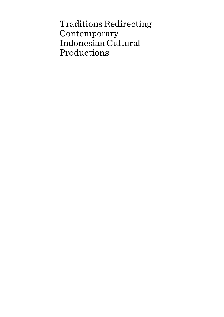Traditions Redirecting Contemporary Indonesian Cultural Productions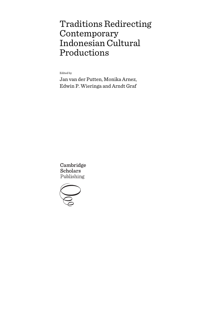# Traditions Redirecting Contemporary Indonesian Cultural Productions

Edited by

Jan van der Putten, Monika Arnez, Edwin P. Wieringa and Arndt Graf

Cambridge **Scholars** Publishing

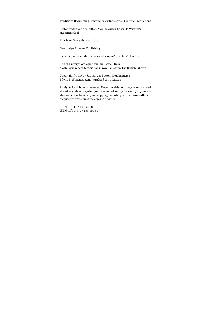Traditions Redirecting Contemporary Indonesian Cultural Productions

Edited by Jan van der Putten, Monika Arnez, Edwin P. Wieringa and Arndt Graf

This book first published 2017

Cambridge Scholars Publishing

Lady Stephenson Library, Newcastle upon Tyne, NE6 2PA, UK

British Library Cataloguing in Publication Data A catalogue record for this book is available from the British Library

Copyright © 2017 by Jan van der Putten, Monika Arnez, Edwin P. Wieringa, Arndt Graf and contributors

All rights for this book reserved. No part of this book may be reproduced, stored in a retrieval system, or transmitted, in any form or by any means, electronic, mechanical, photocopying, recording or otherwise, without the prior permission of the copyright owner.

ISBN (10): 1-4438-8993-8 ISBN (13): 978-1-4438-8993-3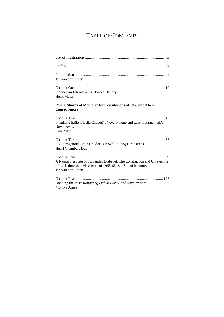## TABLE OF CONTENTS

| Jan van der Putten                                                                                                                                               |
|------------------------------------------------------------------------------------------------------------------------------------------------------------------|
| Indonesian Literature: A Double History<br>Henk Maier                                                                                                            |
| Part I. Shards of Memory: Representations of 1965 and Their<br>Consequences                                                                                      |
| Imagining Exile in Leila Chudori's Novel Pulang and Laksmi Pamuntjak's<br>Novel Amba<br>Pam Allen                                                                |
| PKI Stroganoff: Leila Chudori's Novel Pulang (Revisited)<br>Henri Chambert-Loir                                                                                  |
| A Nation in a State of Suspended Disbelief: The Construction and Unravelling<br>of the Indonesian Massacres of 1965-66 as a Site of Memory<br>Jan van der Putten |
| Dancing the Past: Ronggeng Dukuh Paruk and Sang Penari<br>Monika Arnez                                                                                           |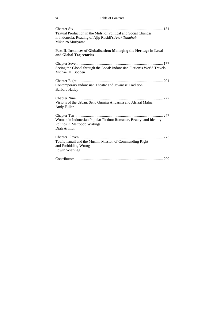| Textual Production in the Midst of Political and Social Changes<br>in Indonesia: Reading of Ajip Rosidi's Anak Tanahair<br>Mikihiro Moriyama |
|----------------------------------------------------------------------------------------------------------------------------------------------|
| Part II. Instances of Globalisation: Managing the Heritage in Local<br>and Global Trajectories                                               |
| Seeing the Global through the Local: Indonesian Fiction's World Travels<br>Michael H. Bodden                                                 |
| Contemporary Indonesian Theatre and Javanese Tradition<br><b>Barbara Hatley</b>                                                              |
| Visions of the Urban: Seno Gumira Ajidarma and Afrizal Malna<br>Andy Fuller                                                                  |
| Women in Indonesian Popular Fiction: Romance, Beauty, and Identity<br>Politics in Metropop Writings<br>Diah Arimbi                           |
| Taufiq Ismail and the Muslim Mission of Commanding Right<br>and Forbidding Wrong<br>Edwin Wieringa                                           |
|                                                                                                                                              |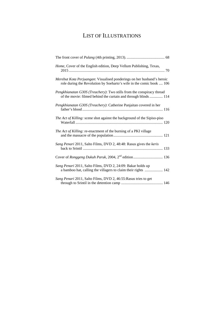## LIST OF ILLUSTRATIONS

| Home, Cover of the English edition, Deep Vellum Publishing, Texas,                                                                             |
|------------------------------------------------------------------------------------------------------------------------------------------------|
| Merebut Kota Perjuangan: Visualised ponderings on her husband's heroic<br>role during the Revolution by Soeharto's wife in the comic book  106 |
| Pengkhianatan G30S (Treachery): Two stills from the conspiracy thread<br>of the movie: filmed behind the curtain and through blinds 114        |
| Pengkhianatan G30S (Treachery): Catherine Panjaitan covered in her                                                                             |
| The Act of Killing: scene shot against the background of the Sipiso-piso                                                                       |
| The Act of Killing: re-enactment of the burning of a PKI village                                                                               |
| Sang Penari 2011, Salto Films, DVD 2, 48:48: Rasus gives the keris                                                                             |
| Cover of Ronggeng Dukuh Paruk, 2004, 2 <sup>nd</sup> edition 136                                                                               |
| Sang Penari 2011, Salto Films, DVD 2, 24:09: Bakar holds up<br>a bamboo hat, calling the villagers to claim their rights  142                  |
| Sang Penari 2011, Salto Films, DVD 2, 46:55: Rasus tries to get                                                                                |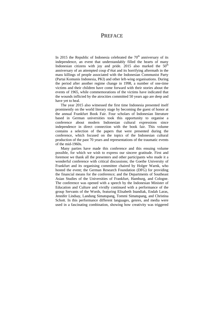### **PREFACE**

In 2015 the Republic of Indonesia celebrated the  $70<sup>th</sup>$  anniversary of its independence, an event that understandably filled the hearts of many Indonesian citizens with joy and pride. 2015 also marked the  $50<sup>th</sup>$ anniversary of an attempted coup d'état and its horrifying aftermath in the mass killings of people associated with the Indonesian Communist Party (Partai Komunis Indonesia, PKI) and other left-wing organisations. During the period after another regime change in 1998, a number of one-time victims and their children have come forward with their stories about the events of 1965, while commemorations of the victims have indicated that the wounds inflicted by the atrocities committed 50 years ago are deep and have yet to heal.

The year 2015 also witnessed the first time Indonesia presented itself prominently on the world literary stage by becoming the guest of honor at the annual Frankfurt Book Fair. Four scholars of Indonesian literature based in German universities took this opportunity to organise a conference about modern Indonesian cultural expressions since independence in direct connection with the book fair. This volume contains a selection of the papers that were presented during the conference, which focused on the topics of the Indonesian cultural production of the past 70 years and representations of the traumatic events of the mid-1960s.

Many parties have made this conference and this ensuing volume possible, for which we wish to express our sincere gratitude. First and foremost we thank all the presenters and other participants who made it a wonderful conference with critical discussions; the Goethe University of Frankfurt and its organising committee chaired by Holger Warnk, who hosted the event; the German Research Foundation (DFG) for providing the financial means for the conference; and the Departments of Southeast Asian Studies of the Universities of Frankfurt, Hamburg, and Cologne. The conference was opened with a speech by the Indonesian Minister of Education and Culture and vividly continued with a performance of the group Servants of the Words, featuring Elisabeth Inandiak, Endah Laras, Jennifer Lindsay, Landung Simatupang, Tommi Simatupang, and Christina Schott. In this performance different languages, genres, and media were used in a fascinating combination, showing how creativity was triggered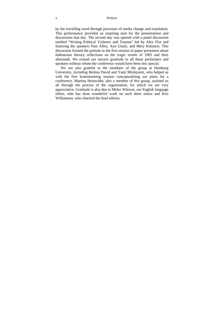#### x Preface

by the travelling word through processes of media change and translation. This performance provided an inspiring start for the presentations and discussions that day. The second day was opened with a panel discussion entitled "Writing Political Violence and Trauma" led by Alex Flor and featuring the speakers Pam Allen, Ayu Utami, and Mery Kolimon. This discussion formed the prelude to the first session of paper presenters about Indonesian literary reflections on the tragic events of 1965 and their aftermath. We extend our sincere gratitude to all these performers and speakers without whom the conference would have been less special.

We are also grateful to the members of the group at Hamburg University, including Bettina David and Yanti Mirdayanti, who helped us with the first brainstorming session conceptualising our plans for a conference. Martina Heinschke, also a member of this group, assisted us all through the process of the organisation, for which we are very appreciative. Gratitude is also due to Mirko Wittwar, our English language editor, who has done wonderful work on such short notice and Kris Williamson, who checked the final edition.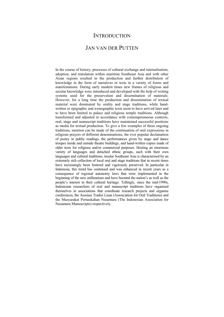## **INTRODUCTION**

## JAN VAN DER PUTTEN

In the course of history, processes of cultural exchange and internalisation, adoption, and translation within maritime Southeast Asia and with other Asian regions resulted in the production and further distribution of knowledge in the form of narratives or texts in a variety of forms and manifestations. During early modern times new frames of religious and secular knowledge were introduced and developed with the help of writing systems used for the preservation and dissemination of materials. However, for a long time the production and dissemination of textual material were dominated by orality and stage traditions, while handwritten or epigraphic and iconographic texts seem to have arrived later and to have been limited to palace and religious temple traditions. Although transformed and adjusted in accordance with contemporaneous contexts, oral, stage and manuscript traditions have maintained successful positions as media for textual production. To give a few examples of these ongoing traditions, mention can be made of the continuation of oral expressions in religious prayers of different denominations, the ever popular declamation of poetry in public readings, the performances given by stage and dance troupes inside and outside theatre buildings, and hand-written copies made of older texts for religious and/or commercial purposes. Hosting an enormous variety of languages and detached ethnic groups, each with their own languages and cultural traditions, insular Southeast Asia is characterised by an extremely rich collection of local oral and stage traditions that in recent times have increasingly been fostered and vigorously preserved. In particular in Indonesia, this trend has continued and was enhanced in recent years as a consequence of regional autonomy laws that were implemented in the beginning of the new millennium and have boosted the nation's as well as the people's interest in their cultural heritage. Tellingly, since the mid-1990s, Indonesian researchers of oral and manuscript traditions have organised themselves in associations that coordinate research projects and organise conferences, the Asosiasi Tradisi Lisan (Assosciation for Oral Traditions) and the Masyarakat Pernaskahan Nusantara (The Indonesian Association for Nusantara Manuscripts) respectively.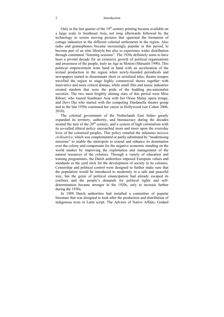Only in the last quarter of the  $19<sup>th</sup>$  century printing became available on a large scale in Southeast Asia, not long afterwards followed by the technology to screen moving pictures that spawned the formation of cottage industries in the different colonial settlements in the region. Also radio and gramophones became increasingly popular in this period, to become part of an elite lifestyle but also to experience wider distribution through communal "listening sessions". The 1920s definitely seem to have been a pivotal decade for an extensive growth of political organisations and awareness of the people, truly an Age in Motion (Shiraishi 1990). This political empowerment went hand in hand with an acceleration of the textual production in the region when newly-founded periodicals and newspapers started to disseminate short or serialised tales, theatre troupes travelled the region to stage highly commercial shows together with innovative and more critical dramas, while small film and music industries created stardom that were the pride of the budding pre-nationalist societies. The two most brightly shining stars of this period were Miss Riboet, who toured Southeast Asia with her Orion Malay opera troupe, and Devi Dja who started with the competing Dardanella theatre group and in the late 1930s continued her career in Hollywood (see Cohen 2006, 2010).

The colonial government of the Netherlands East Indies greatly expanded its territory, authority, and bureaucracy during the decades around the turn of the  $20<sup>th</sup>$  century, and a system of high colonialism with its so-called ethical policy encroached more and more upon the everyday lives of the colonised peoples. This policy entailed the infamous *mission civilisatrice*, which was complemented or partly substituted by "modernising missions" to enable the metropole to extend and enhance its domination over the colony and compensate for the negative economic standing on the world market by improving the exploitation and management of the natural resources of the colonies. Through a variety of education and training programmes, the Dutch authorities imposed European values and standards as the yard stick for the development of society in its colonies. Censorship and political control were designed to further make sure that the population would be introduced to modernity in a safe and peaceful way, but the genie of political emancipation had already escaped its confines and the people's demands for political rights and selfdetermination became stronger in the 1920s, only to increase further during the 1930s.

In 1908 Dutch authorities had installed a committee of popular literature that was designed to look after the production and distribution of indigenous texts in Latin script. The Advisor of Native Affairs, Godard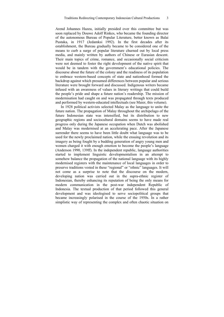Arend Johannes Hazeu, initially presided over this committee but was soon replaced by Douwe Adolf Rinkes, who became the founding director of the autonomous Bureau of Popular Literature, better known as Balai Pustaka, in 1917 (Jedamksi 1992). In the first decades after its establishment, the Bureau gradually became to be considered one of the means to curb a surge of popular literature churned out by local press media, and mainly written by authors of Chinese or Eurasian descent. Their main topics of crime, romance, and occasionally social criticism were not deemed to foster the right development of the native spirit that would be in tandem with the government's educational policies. The discourse about the future of the colony and the readiness of its population to embrace western-based concepts of state and nationhood formed the backdrop against which presumed differences between popular and serious literature were brought forward and discussed. Indigenous writers became infused with an awareness of values in literary writings that could build the people's pride and shape a future nation's readership. The mission of modernisation had caught on and was propagated through texts produced and performed by western-educated intellectuals (see Maier, this volume).

In 1928 political activists selected Malay as the language to unite the future nation. The propagation of Malay throughout the archipelago of the future Indonesian state was intensified, but its distribution to new geographic regions and sociocultural domains seems to have made real progress only during the Japanese occupation when Dutch was abolished and Malay was modernised at an accelerating pace. After the Japanese surrender there seems to have been little doubt what language was to be used for the newly proclaimed nation, while the ensuing revolution and its imagery as being fought by a budding generation of angry young men and women charged it with enough emotion to become the people's language (Anderson 1990, 139ff). In the independent republic, language authorities started to implement linguistic developmentalism in an attempt to somehow balance the propagation of the national language with its highly modernised registers with the maintenance of local languages in order to preserve traditions vested in these "regional" or "ethnic" languages. It will not come as a surprise to note that the discourse on the modern, developing nation was carried out in the supra-ethnic register of Indonesian, thereby enhancing its reputation of being the only means for modern communication in the post-war independent Republic of Indonesia. The textual production of that period followed this general development and was ideologised to serve sociopolitical groups that became increasingly polarised in the course of the 1950s. In a rather simplistic way of representing the complex and often chaotic situation on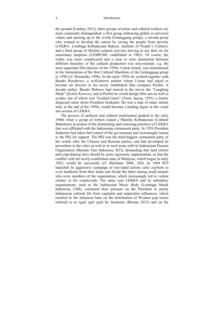the ground (Lindsay 2012), three groups of artists and cultural workers are most commonly distinguished: a first group embracing global or universal values and opening up to the world (Gelanggang group), a second group who wanted to develop the nation by saving the people from poverty (LEKRA, Lembaga Kebudayaan Rakyat*,* Institute of People's Culture), and a third group of Muslim cultural activists striving to use their art for missionary purposes (LESBUMI, established in 1962). Of course, the reality was more complicated and a clear or strict distinction between different branches of the cultural production was non-existent, e.g. the most important film director of the 1950s, Usmar Ismail, was instrumental in the formulation of the first Cultural Manifesto of the Gelanggang group in 1950 (cf. Heinschke 1996). In the early 1950s he worked together with Basuki Resobowo, a well-known painter whom Usmar had asked to become art director in his newly established film company Perfini. A decade earlier, Basuki Rebowo had starred in the movie the "Laughing Mask" (*Kedok Ketawa*), and at Perfini he would design film sets as well as scripts, one of which was "Exalted Guest" (*Tamu Agung*, 1955), a faintly disguised satire about President Soekarno. He was a man of many talents who, at the end of the 1950s, would become a leading figure in the visual arts section of LEKRA.

The process of political and cultural polarisation peaked in the early 1960s when a group of writers issued a Manifes Kebudayaan (Cultural Manifesto) in protest of the dominating and censoring practices of LEKRA that was affiliated with the Indonesian communist party. In 1959 President Soekarno had taken full control of the government and increasingly turned to the PKI for support. The PKI was the third-biggest communist party of the world, after the Chinese and Russian parties, and had developed its powerbase in the cities as well as in rural areas with its Indonesian Peasant Organisation (Barisan Tani Indonesia, BTI), demanding that land reform and crop-sharing laws should be more rigorously implemented, so that the conflict with the newly-established state of Malaysia, which began in early 1963, would be successful (cf. Mortimer 2006, 269). In 1964 BTI launched its aggressive campaign of one-sided actions (*aksi sepihak*) to evict landlords from their lands and divide the latter among small tenants who were members of the organisation, which increasingly led to violent clashes in the countryside. The same year LEKRA and its subsidiary organisations, such as the Indonesian Music Body (Lembaga Musik Indonesia, LMI), continued their pressure on the President to purify Indonesian cultural life from capitalist and imperialist influences, which resulted in the infamous bans on the distribution of Western pop music referred to as *ngak ngik nguk* by Soekarno (Rhoma 2012) and on the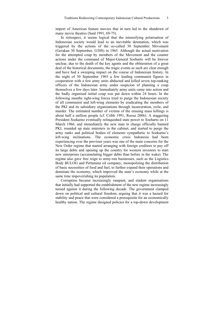import of American feature movies that in turn led to the shutdown of many movie theatres (Said 1991, 69-75).

In retrospect, it seems logical that the intensifying polarisation of Indonesian society would lead to an inevitable detonation, which was triggered by the actions of the so-called 30 September Movement (Gerakan 30 September, G30S) in 1965. Although the actual motivation for the attempted coup by members of the Movement and the counter actions under the command of Major-General Soeharto will be forever unclear, due to the death of the key agents and the obliteration of a great deal of the historical documents, the tragic events as such are clear enough and have had a sweeping impact on the course of Indonesian history. In the night of 30 September 1965 a few leading communist figures in cooperation with a few army units abducted and killed seven top-ranking officers of the Indonesian army under suspicion of planning a coup themselves a few days later. Immediately army units came into action and the badly organised initial coup was put down within 24 hours. In the following months right-wing forces tried to purge the Indonesian society of all communist and left-wing elements by eradicating the members of the PKI and its subsidiary organisations through incarceration, exile, and murder. The estimated number of victims of the ensuing mass killings is about half a million people (cf. Cribb 1991, Roosa 2006). A staggering President Soekarno eventually relinquished state power to Soeharto on 11 March 1966, and immediately the new man in charge officially banned PKI, rounded up state ministers in the cabinet, and started to purge the army ranks and political bodies of elements sympathetic to Soekarno's left-wing inclinations. The economic crisis Indonesia had been experiencing over the previous years was one of the main concerns for the New Order regime that started arranging with foreign creditors to pay off its large debts and opening up the country for western investors to start new enterprises (accumulating bigger debts than before in the wake). The regime also gave free reign to army-run businesses, such as the Logistics Body BULOG and Pertamina oil company, monopolising the distribution of basic necessities of food and fuel, to further expand their operations and dominate the economy, which improved the state's economy while at the same time impoverishing its population.

Corruption became increasingly rampant, and student organisations that initially had supported the establishment of the new regime increasingly turned against it during the following decade. The government clamped down on political and cultural freedom, arguing that it was a hazard for stability and peace that were considered a prerequisite for an economically healthy nation. The regime designed policies for a top-down development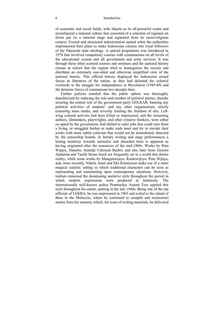of economic and social fields, with Jakarta as its all-powerful centre and reconfigured a national culture that consisted of a selection of regional art forms put on a national stage and separated from its socio-religious context. Formal and structured indoctrination started when the authorities implemented their plans to make Indonesian citizens into loyal followers of the Pancasila state ideology. A special programme was introduced in 1978 that involved compulsory courses with examinations on all levels of the educational system and all government and army services. It was through these often scorned courses and seminars and the national history classes at school that the regime tried to homogenise the society and distribute an extremely one-sided and otherwise simplified view of the national history. This official history displayed the Indonesian armed forces as liberators of the nation, as they had defeated the colonial overlords in the struggle for independence or Revolution (1945-49) and the demonic forces of communism two decades later.

Further policies entailed that the public sphere was thoroughly depoliticised by reducing the role and number of political parties, thereby securing the central role of the government party GOLKAR, banning any political activities of students' and any other organisations, strictly censoring mass media, and severely limiting the freedom of arts. Leftwing cultural activists had been killed or imprisoned, and the remaining authors, filmmakers, playwrights, and other creative thinkers, were either co-opted by the government, had shifted to safer jobs that could earn them a living, or struggled further to make ends meet and try to encode their works with more subtle criticism that would not be immediately detected by the censorship boards. In literary writing and stage performances a lasting tendency towards surrealist and absurdist texts is apparent as having originated after the massacres of the mid-1960s. Works by Putu Wijaya, Danarto, Sutardji Calzoum Bachri, and also later Seno Gumira Ajidarma and Taufik Ikram Jamil are frequently set in a world that denies reality, while some works by Mangunwijaya, Kuntowijoyo, Putu Wijaya, and, more recently, Nukila Amal and Eka Kurniawan make use of a more magical realistic setting in which traditional characters can be seen as representing and commenting upon contemporary situations. However, realism remained the dominating narrative style throughout the period in which modern expressions were produced in Indonesia. The internationally well-known author Pramoedya Ananta Toer applied this style throughout his career, starting in the late 1940s. Being one of the top officials of LEKRA, he was imprisoned in 1965 and exiled to the island of Buru in the Moluccas, where he continued to compile and reconstruct stories from his memory which, for want of writing materials, he delivered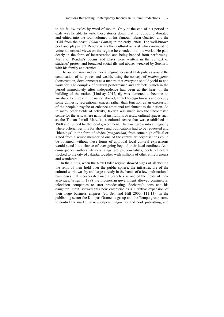to his fellow exiles by word of mouth. Only at the end of his period in exile was he able to write those stories down that he revised, elaborated and edited into the four volumes of his famous "Buru Quartet" and the "Girl from the coast" (*Gadis Pantai*) in the early 1980s. The well-known poet and playwright Rendra is another cultural activist who continued to voice his critical views on the regime he encoded into his works. He paid dearly in the form of incarceration and being banned from performing. Many of Rendra's poems and plays were written in the context of students' protest and broached social ills and abuses wreaked by Soeharto with his family and cronies.

The authoritarian and technocrat regime focussed all its policies around the continuation of its power and wealth, using the concept of *pembangunan* (construction, development) as a mantra that everyone should yield to and work for. The complex of cultural performance and artefacts, which in the period immediately after independence had been at the heart of the building of the nation (Lindsay 2012, 6), was demoted to become an auxiliary to represent the nation abroad, attract foreign tourists and occupy some domestic recreational spaces, rather than function as an expression of the people's psyche or enhance emotional attachment to the nation. As in many other fields of activity, Jakarta was made into the uncontested centre for the arts, where national institutions oversaw cultural spaces such as the Taman Ismail Marzuki, a cultural centre that was established in 1968 and funded by the local government. The town grew into a megacity where official permits for shows and publications had to be requested and "blessings" in the form of advice (*pengarahan*) from some high official or a nod from a senior member of one of the central art organisations could be obtained; without these forms of approval local cultural expressions would stand little chance of ever going beyond their local confines. As a consequence authors, dancers, stage groups, journalists, poets, et cetera flocked to the city of Jakarta, together with millions of other entrepreneurs and wanderers.

In the 1990s, when the New Order regime showed signs of slackening the reins of their hold over the public sphere, the infrastructure of the cultural world was by and large already in the hands of a few multinational businesses that incorporated media branches as one of the fields of their activities. When in 1988 the Indonesian government allowed commercial television companies to start broadcasting, Soeharto's sons and his daughter, Tutut, viewed this new enterprise as a lucrative expansion of their huge business empires (cf. Sen and Hill 2000, 111-13). In the publishing sector the Kompas Gramedia group and the Tempo group came to control the market of newspapers, magazines and book publishing, and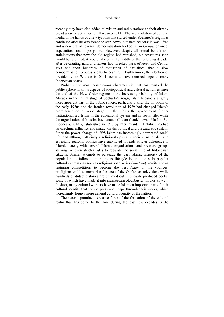recently they have also added television and radio stations to their already broad array of activities (cf. Haryanto 2011). The accumulation of cultural media in the hands of a few tycoons that started under Soeharto's reign has continued after he was forced to step down, but state censorship was lifted and a new era of feverish democratisation kicked in. *Reformasi* dawned, expectations and hope galore. However, despite all initial beliefs and anticipations that now the old regime had vanished, old structures soon would be reformed, it would take until the middle of the following decade, after devastating natural disasters had wrecked parts of Aceh and Central Java and took hundreds of thousands of casualties, that a slow democratisation process seems to bear fruit. Furthermore, the election of President Joko Widodo in 2014 seems to have returned hope to many Indonesian hearts.

Probably the most conspicuous characteristic that has marked the public sphere in all its aspects of sociopolitical and cultural activities since the end of the New Order regime is the increasing visibility of Islam. Already in the initial stage of Soeharto's reign, Islam became a slightly more apparent part of the public sphere, particularly after the oil boom of the early 1970s and the Iranian revolution of 1979 had changed Islam's prominence on a world stage. In the 1980s the government further institutionalised Islam in the educational system and in social life, while the organisation of Muslim intellectuals (Ikatan Cendekiawan Muslim Se-Indonesia, ICMI), established in 1990 by later President Habibie, has had far-reaching influence and impact on the political and bureaucratic system. Since the power change of 1998 Islam has increasingly permeated social life, and although officially a religiously pluralist society, nationalist and especially regional politics have gravitated towards stricter adherence to Islamic tenets, with several Islamic organisations and pressure groups striving for even stricter rules to regulate the social life of Indonesian citizens. Similar attempts to persuade the vast Islamic majority of the population to follow a more pious lifestyle is ubiquitous in popular cultural expressions such as religious soap series (*sinetron*), reality shows featuring competitions to become the best *imam* or the youngest prodigious child to memorise the text of the Qur'an on television, while hundreds of didactic stories are churned out in cheaply produced books, some of which have made it into mainstream blockbuster movies as well. In short, many cultural workers have made Islam an important part of their cultural identity that they express and shape through their works, which increasingly forge a more general cultural identity of the nation.

The second prominent creative force of the formation of the cultural realm that has come to the fore during the past few decades is the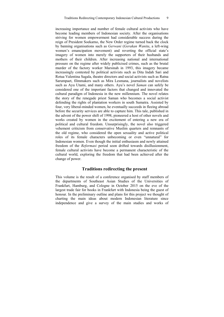increasing importance and number of female cultural activists who have become leading members of Indonesian society. After the organisations striving for women empowerment had considerable success during the reign of President Soekarno, the New Order regime turned back the clock by banning organisations such as *Gerwani* (*Gerakan Wanita*, a left-wing women's emancipation movement) and reverting the official state's imagery of women into merely the supporters of their husbands and mothers of their children. After increasing national and international pressure on the regime after widely publicised crimes, such as the brutal murder of the factory worker Marsinah in 1993, this imagery became increasingly contested by political activists such as Dita Indah Sari and Rotua Valentina Sagala, theatre directors and social activists such as Ratna Sarumpaet, filmmakers such as Mira Lesmana, journalists and novelists such as Ayu Utami, and many others. Ayu's novel *Saman* can safely be considered one of the important factors that changed and innovated the cultural paradigm of Indonesia in the new millennium. The novel relates the story of the renegade priest Saman who becomes a social activist defending the rights of plantation workers in south Sumatra. Assisted by four, very liberal-minded women, he eventually succeeds in fleeing abroad before the security services are able to capture him. This tale, published in the advent of the power shift of 1998, pioneered a host of other novels and works created by women in the excitement of entering a new era of political and cultural freedom. Unsurprisingly, the novel also triggered vehement criticism from conservative Muslim quarters and remnants of the old regime, who considered the open sexuality and active political roles of its female characters unbecoming or even "unnatural" for Indonesian women. Even though the initial enthusiasm and newly attained freedom of the *Reformasi* period soon drifted towards disillusionment, female cultural activists have become a permanent characteristic of the cultural world, exploring the freedom that had been achieved after the change of power.

#### **Traditions redirecting the present**

This volume is the result of a conference organised by staff members of the departments of Southeast Asian Studies of the Universities of Frankfurt, Hamburg, and Cologne in October 2015 on the eve of the largest trade fair for books in Frankfurt with Indonesia being the guest of honour. In the preliminary outline and plans for this project we thought of charting the main ideas about modern Indonesian literature since independence and give a survey of the main studies and works of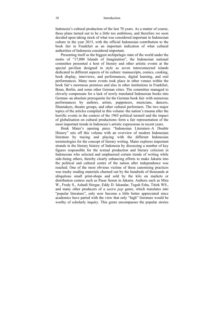Indonesia's cultural production of the last 70 years. As a matter of course, these plans turned out to be a little too ambitious, and therefore we soon decided upon taking stock of what was considered important in Indonesian culture in the year 2015, with the official Indonesian contribution to the book fair in Frankfurt as an important indication of what cultural authorities of Indonesia considered important.

Presenting itself as the biggest archipelagic state of the world under the motto of "17,000 Islands of Imagination", the Indonesian national committee presented a host of literary and other artistic events at the special pavilion designed in style as seven interconnected islands dedicated to different aspects of its culture: manuscripts, comics, cooking, book display, interviews, and performances, digital learning, and oral performances. Many more events took place in other venues within the book fair's enormous premises and also in other institutions in Frankfurt, Bonn, Berlin, and some other German cities. The committee managed to cleverly compensate for a lack of newly translated Indonesian books into German–an absolute prerequisite for the German book fair–with numerous performances by authors, artists, puppeteers, musicians, dancers, filmmakers, theatre groups, and other cultural performers. The two major topics of the articles compiled in this volume–the nation's trauma after the horrific events in the context of the 1965 political turmoil and the impact of globalisation on cultural productions–form a fair representation of the most important trends in Indonesia's artistic expressions in recent years.

Henk Maier's opening piece "Indonesian Literature–A Double History" sets off this volume with an overview of modern Indonesian literature by tracing and playing with the different Indonesian terminologies for the concept of literary writing. Maier explores important strands in the literary history of Indonesia by discussing a number of key figures responsible for the textual production and literary criticism in Indonesian who selected and emphasised certain trends of writing while side-lining others, thereby clearly enhancing efforts to make Jakarta into the political and cultural centre of the nation after independence was reached. One of the most obvious victims of these canonising practices was trashy reading materials churned out by the hundreds of thousands at ubiquitous small print-shops and sold by the kilo on markets or distribution centres such as Pasar Senen in Jakarta. Authors such as Mira W., Fredy S., Ashadi Siregar, Eddy D. Iskandar, Teguh Esha, Titiek WS., and many other producers of a *sastra pop* genre, which translates into "popular literature", only now become a little better appreciated since academics have parted with the view that only "high" literature would be worthy of scholarly inquiry. This genre encompasses the popular stories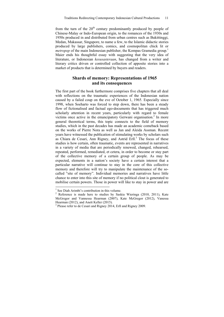from the turn of the  $20<sup>th</sup>$  century predominantly produced by people of Chinese-Malay or Indo-European origin, to the romances of the 1930s and 1950s produced in and distributed from urban centres such as Bukittinggi, Medan, Makassar, Singapore, to name a few, to the Islamic didactic stories produced by large publishers, comics, and cosmopolitan chick lit or *metropop* of the main Indonesian publisher, the Kompas Gramedia group.<sup>1</sup> Maier ends his thoughtful essay with suggesting that the very idea of literature, or Indonesian *kesusasteraan*, has changed from a writer and literary critics driven or controlled collection of apposite stories into a market of products that is determined by buyers and readers.

#### **Shards of memory: Representations of 1965 and its consequences**

The first part of the book furthermore comprises five chapters that all deal with reflections on the traumatic experiences of the Indonesian nation caused by a failed coup on the eve of October 1, 1965. Especially since 1998, when Soeharto was forced to step down, there has been a steady flow of fictionalised and factual ego-documents that has triggered much scholarly attention in recent years, particularly with regard to female victims once active in the emancipatory Gerwani organisation.<sup>2</sup> In more general theoretical terms, this topic connects to the field of memory studies, which in the past decades has made an academic comeback based on the works of Pierre Nora as well as Jan and Aleida Assman. Recent years have witnessed the publication of stimulating works by scholars such as Chiara de Cesari, Ann Rigney, and Astrid Erll.<sup>3</sup> The focus of these studies is how certain, often traumatic, events are represented in narratives in a variety of media that are periodically renewed, changed, rehearsed, repeated, performed, remediated, et cetera, in order to become or stay part of the collective memory of a certain group of people. As may be expected, elements in a nation's society have a certain interest that a particular narrative will continue to stay in the core of this collective memory and therefore will try to manipulate the maintenance of the socalled "site of memory". Individual memories and narratives have little chance to enter into this site of memory if no political clout is generated to mobilise certain powers. Those in power will like to stay in power and are

l

<sup>&</sup>lt;sup>1</sup> See Diah Arimbi's contribution in this volume.

 $2$  Reference is made here to studies by Saskia Wieringa (2010, 2011), Kate McGregor and Vannessa Hearman (2007), Kate McGregor (2012), Vanessa Hearman (2012), and Anett Keller (2015).

<sup>&</sup>lt;sup>3</sup> Please refer to de Cesari and Rigney 2014, Erll and Rigney 2009.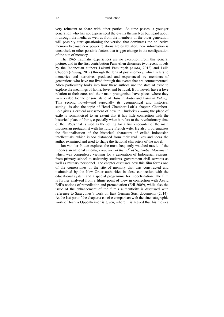very reluctant to share with other parties. As time passes, a younger generation who has not experienced the events themselves but heard about it through the media as well as from the members of the older generation will possibly start questioning the version that dominates the collective memory because new power relations are established, new information is unearthed, or other possible factors that trigger change in the configuration of the site of memory.

The 1965 traumatic experiences are no exception from this general picture, and in the first contribution Pam Allen discusses two recent novels by the Indonesian authors Laksmi Pamuntjak (*Amba*, 2012) and Leila Chudori (*Pulang*, 2012) through the lens of post-memory, which refers to memories and narratives produced and experienced by members of generations who have not lived through the events that are commemorated. Allen particularly looks into how these authors use the state of exile to explore the meanings of home, love, and betrayal. Both novels have a love relation at their core, and their main protagonists have places where they were exiled to: the prison island of Buru in *Amba* and Paris in *Pulang*. This second novel—and especially its geographical and historical setting—is also the topic of Henri Chambert-Loir's chapter. Chambert-Loir gives a critical assessment of how in Chudori's *Pulang* the place of exile is romanticised to an extent that it has little connection with the historical place of Paris, especially when it refers to the revolutionary time of the 1960s that is used as the setting for a first encounter of the main Indonesian protagonist with his future French wife. He also problematises the fictionalisation of the historical characters of exiled Indonesian intellectuals, which is too distanced from their real lives and ideas the author examined and used to shape the fictional characters of the novel.

Jan van der Putten explores the most frequently watched movie of the Indonesian national cinema, *Treachery of the* 30<sup>th</sup> of September Movement, which was compulsory viewing for a generation of Indonesian citizens, from primary school to university students, government civil servants as well as military personnel. The chapter discusses how this film forms one of the cornerstones of the site of memory that was constructed and maintained by the New Order authorities in close connection with the educational system and a special programme for indoctrination. The film is further analysed from a filmic point of view in connection with Astrid Erll's notions of remediation and premediation (Erll 2009), while also the issue of the enhancement of the film's authenticity is discussed with reference to Sara Jones's work on East German Stasi documents (2014). As the last part of the chapter a concise comparison with the cinematographic work of Joshua Oppenheimer is given, where it is argued that his movies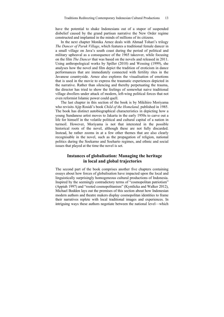have the potential to shake Indonesians out of a stupor of suspended disbelief caused by the grand partisan narrative the New Order regime constructed and implanted in the minds of millions of its citizens.

In the next chapter Monika Arnez deals with Ahmad Tohari's trilogy *The Dancer of Paruk Village*, which features a traditional female dancer in a small village on Java's south coast during the period of political and military upheaval as a consequence of the 1965 takeover, while focusing on the film *The Dancer* that was based on the novels and released in 2011. Using anthropological works by Spiller (2010) and Wessing (1999), she analyses how the novel and film depict the tradition of eroticism in dance performances that are immediately connected with fertility rites in the Javanese countryside. Arnez also explores the visualisation of emotions that is used in the movie to express the traumatic experiences depicted in the narrative. Rather than silencing and thereby perpetuating the trauma, the director has tried to show the feelings of somewhat naive traditional village dwellers under attack of modern, left-wing political forces that not even reformist Islamic power could quell.

The last chapter in this section of the book is by Mikihiro Moriyama who revisits Ajip Rosidi's book *Child of the Homeland,* published in 1985. The book has distinct autobiographical characteristics in depicting how a young Sundanese artist moves to Jakarta in the early 1950s to carve out a life for himself in the volatile political and cultural capital of a nation in turmoil. However, Moriyama is not that interested in the possible historical roots of the novel, although these are not fully discarded. Instead, he rather zooms in at a few other themes that are also clearly recognisable in the novel, such as the propagation of religion, national politics during the Soekarno and Soeharto regimes, and ethnic and social issues that played at the time the novel is set.

#### **Instances of globalisation: Managing the heritage in local and global trajectories**

The second part of the book comprises another five chapters containing essays about how forces of globalisation have impacted upon the local and linguistically surprisingly homogeneous cultural productions of Indonesia. Inspired by the seemingly contradictory terms of "cosmopolitan patriotism" (Appiah 1997) and "rooted cosmopolitanism" (Kymlicka and Walker 2012), Michael Bodden lays out the premises of this section about how Indonesian modern authors and theatre makers display cosmopolitan identities to frame their narratives replete with local traditional images and experiences. In intriguing ways these authors negotiate between the national level—which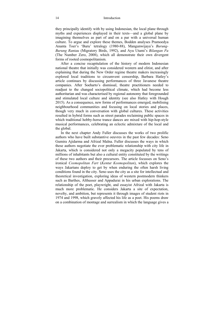they principally identify with by using Indonesian, the local plane through myths and experiences displayed in their texts—and a global plane by imagining themselves as part of and on a par with a universal human culture. To argue and explore these themes, Bodden analyses Pramoedya Ananta Toer's 'Buru' tetralogy (1980-88), Mangunwijaya's *Burung-Burung Rantau* (Migratory Birds, 1992), and Ayu Utami's *Bilangan Fu* (The Number Zero, 2008), which all demonstrate their own divergent forms of rooted cosmopolitanism.

After a concise recapitulation of the history of modern Indonesian national theatre that initially was considered western and elitist, and after explaining that during the New Order regime theatre makers increasingly explored local traditions to circumvent censorship, Barbara Hatley's article continues by discussing performances of three Javanese theatre companies. After Soeharto's dismissal, theatre practitioners needed to readjust to the changed sociopolitical climate, which had become less authoritarian and was characterised by regional autonomy that foregrounded and stimulated local culture and identity (see also Hatley with Hough 2015). As a consequence, new forms of performances emerged, mobilising neighbourhood communities and focusing on local stories and places, though very much in conversation with global cultures. These activities resulted in hybrid forms such as street parades reclaiming public spaces in which traditional hobby-horse trance dances are mixed with hip-hop-style musical performances, celebrating an eclectic admixture of the local and the global.

In the next chapter Andy Fuller discusses the works of two prolific authors who have built substantive oeuvres in the past few decades: Seno Gumira Ajidarma and Afrizal Malna. Fuller discusses the ways in which these authors negotiate the ever problematic relationship with city life in Jakarta, which is considered not only a megacity populated by tens of millions of inhabitants but also a cultural entity constituted by the writings of these two authors and their precursors. The article focusses on Seno's ironical *Cosmopolitan Fart* (*Kentut Kosmopolitan*), which explores the ways Jakartans deploy to get by when enduring the often harsh living conditions found in the city. Seno uses the city as a site for intellectual and theoretical investigation, exploring ideas of western postmodern thinkers such as Barthes, Althusser and Appadurai in his urban explorations. The relationship of the poet, playwright, and essayist Afrizal with Jakarta is much more problematic. He considers Jakarta a site of expectation, novelty, and ambition, but represents it through images of student riots in 1974 and 1998, which gravely affected his life as a poet. His poems draw on a combination of montage and surrealism in which the language gives a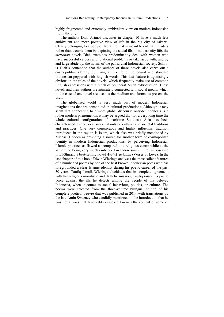highly fragmented and extremely ambivalent view on modern Indonesian life in the city.

The authors Diah Arimbi discusses in chapter 10 have a much less ambivalent and more positive view of life in the big city of Jakarta. Clearly belonging to a body of literature that is meant to entertain readers rather than trouble them by depicting the social ills of modern city life, the *metropop* novels Diah examines predominantly deal with women who have successful careers and relational problems or take issue with, and by and large abide by, the norms of the patriarchal Indonesian society. Still, it is Diah's contention that the authors of these novels also carve out a cosmopolitan identity by using a mixture of colloquial and standard Indonesian peppered with English words. This last feature is agonisingly obvious in the titles of the novels, which frequently make use of common English expressions with a pinch of Southeast Asian hybridisation. These novels and their authors are intimately connected with social media, which in the case of one novel are used as the medium and format to present the story.

The globalised world is very much part of modern Indonesian imaginations that are constituted in cultural productions. Although it may seem that connecting to a more global discourse outside Indonesia is a rather modern phenomenon, it may be argued that for a very long time the whole cultural configuration of maritime Southeast Asia has been characterised by the localisation of outside cultural and societal traditions and practices. One very conspicuous and highly influential tradition introduced in the region is Islam, which also was briefly mentioned by Michael Bodden as providing a source for another form of cosmopolitan identity in modern Indonesian productions, by perceiving Indonesian Islamic practices as flawed as compared to a religious centre while at the same time being very much embedded in Indonesian culture, as observed in El-Shirazy's best-selling novel *Ayat-Ayat Cinta* (Verses of Love). In the last chapter of this book Edwin Wieringa analyses the most salient features of a number of poems by one of the best known Indonesian poets who has foregrounded a clear Islamic identity during his poetic career of the past 50 years: Taufiq Ismail. Wieringa elucidates that in complete agreement with his religious moralistic and didactic mission, Taufiq raises his poetic voice against the ills he detects among the people of his beloved Indonesia, when it comes to social behaviour, politics, or culture. The poems were selected from the three-volume bilingual edition of his complete poetical oeuvre that was published in 2014 with translations by the late Amin Sweeney who candidly mentioned in the introduction that he was not always that favourably disposed towards the content of some of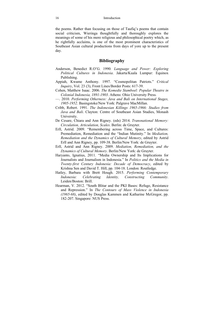the poems. Rather than focusing on those of Taufiq's poems that contain social criticism, Wieringa thoughtfully and thoroughly explores the meanings of some of his more religious and philosophical poetry which, as he rightfully acclaims, is one of the most prominent characteristics of Southeast Asian cultural productions from days of yore up to the present day.

#### **Bibliography**

- Anderson, Benedict R.O'G. 1990*. Language and Power: Exploring Political Cultures in Indonesia*. Jakarta/Kuala Lumpur: Equinox Publishing.
- Appiah, Kwame Anthony. 1997. "Cosmopolitan Patriots." *Critical Inquiry*, Vol. 23 (3), Front Lines/Border Posts: 617-39.
- Cohen, Matthew Isaac. 2006. *The Komedie Stamboel: Popular Theatre in Colonial Indonesia, 1891-1903*. Athens: Ohio University Press.
- —. 2010. *Performing Otherness: Java and Bali on International Stages, 1905-1952*. Basingstoke/New York: Palgrave MacMillan.
- Cribb, Robert. 1991. *The Indonesian Killings 1965-1966: Studies from Java and Bali*. Clayton: Centre of Southeast Asian Studies, Monash University.
- De Cesare, Chiara and Ann Rigney. (eds) 2014. *Transnational Memory: Circulation, Articulation, Scales*. Berlin: de Gruyter.
- Erll, Astrid. 2009. "Remembering across Time, Space, and Cultures: Premediation, Remediation and the "Indian Mutinity." In *Mediation, Remediation and the Dynamics of Cultural Memory*, edited by Astrid Erll and Ann Rigney, pp. 109-38. Berlin/New York: de Gruyter.
- Erll, Astrid and Ann Rigney. 2009. *Mediation, Remediation, and the Dynamics of Cultural Memory*. Berlin/New York: de Gruyter.
- Haryanto, Ignatius, 2011. "Media Ownership and Its Implications for Journalists and Journalism in Indonesia." In *Politics and the Media in Twenty-first Century Indonesia: Decade of Democracy*, edited by Krishna Sen and David T. Hill, pp. 104-18. London: Routledge.
- Hatley, Barbara with Brett Hough. 2015. *Performing Contemporary Indonesia: Celebrating Identity, Constructing Community*. Leiden/Boston: Brill.
- Hearman, V. 2012. "South Blitar and the PKI Bases: Refuge, Resistance and Repression." In *The Contours of Mass Violence in Indonesia (1965-68)*, edited by Douglas Kammen and Katharine McGregor, pp. 182-207. Singapore: NUS Press.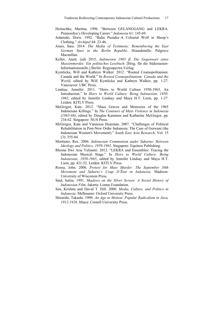- Heinschke, Martina. 1996. "Between GELANGGANG and LEKRA: Pramoedya's Developing Career." *Indonesia* 61: 145-69.
- Jedamski, Doris. 1992. "Balai Pustaka–A Colonial Wolf in Sheep's Clothing." *Archipel* 44: 23-46.
- Jones, Sara. 2014. *The Media of Testimony: Remembering the East German Stasi in the Berlin Republic*. Houndsmills: Palgrave Macmillan.
- Keller, Anett. (ed) 2015. *Indonesien 1965 ff. Die Gegenwart eines Massenmordes: Ein politisches Lesebuch*. [Hrsg. für die Südostasien-Informationsstelle.] Berlin: Regiospectra Verlag.
- Kymlicka, Will and Kathryn Walker. 2012. "Rooted Cosmopolitanism: Canada and the World." In *Rooted Cosmopolitanism: Canada and the World*, edited by Will Kymlicka and Kathryn Walker, pp. 1-27. Vancouver: UBC Press.
- Lindsay, Jennifer. 2011. "Heirs to World Culture 1950-1965, An Introduction." In *Heirs to World Culture: Being Indonesian, 1950- 1965*, edited by Jennifer Lindsay and Maya H.T. Liem, pp. 1-27. Leiden: KITLV Press.
- McGregor, Kate. 2012. "Mass Graves and Memories of the 1965 Indonesian Killings." In *The Contours of Mass Violence in Indonesia (1965-68)*, edited by Douglas Kammen and Katharine McGregor, pp. 234-62. Singapore: NUS Press.
- McGregor, Kate and Vannessa Hearman. 2007. "Challenges of Political Rehabilitation in Post-New Order Indonesia: The Case of Gerwani (the Indonesian Women's Movement)." *South East Asia Research*, Vol. 15 (3): 355-84.
- Mortimer, Rex. 2006. *Indonesian Communism under Sukarno: Between Ideology and Politics, 1959-1965*. Singapore: Equinox Publishing.
- Rhoma Dwi Aria Yuliantri. 2012. "LEKRA and Ensembles: Tracing the Indonesian Musical Stage." In *Heirs to World Culture: Being Indonesian, 1950-1965*, edited by Jennifer Lindsay and Maya H.T. Liem, pp. 421-52. Leiden: KITLV Press.
- Roosa, John. 2006. *Pretext for Mass Murder: The September 30th Movement and Suharto's Coup D'État in Indonesia*. Madison: University of Wisconsin Press.
- Said, Salim. 1991. *Shadows on the Silver Screen: A Social History of Indonesian Film*. Jakarta: Lontar Foundation.
- Sen, Krishna and David T. Hill. 2000. *Media, Culture, and Politics in Indonesia*. Melbourne: Oxford University Press.
- Shiraishi, Takashi. 1990. *An Age in Motion: Popular Radicalism in Java, 1912-1926*. Ithaca: Cornell University Press.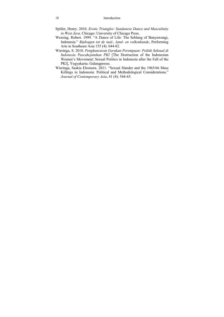- Spiller, Henry. 2010. *Erotic Triangles: Sundanese Dance and Masculinity in West Java*. Chicago: University of Chicago Press.
- Wessing, Robert. 1999. "A Dance of Life: The Seblang of Banyuwangi, Indonesia." *Bijdragen tot de taal-, land- en volkenkunde*, Performing Arts in Southeast Asia 155 (4): 644-82.
- Wieringa, S. 2010. *Penghancuran Gerakan Perempuan: Politik Seksual di Indonesia Pascakejatuhan PKI* [The Destruction of the Indonesian Women's Movement: Sexual Politics in Indonesia after the Fall of the PKI], Yogyakarta: Galangpresss.
- Wieringa, Saskia Eleonora. 2011. "Sexual Slander and the 1965/66 Mass Killings in Indonesia: Political and Methodological Considerations." *Journal of Contemporary Asia*, 41 (4): 544-65.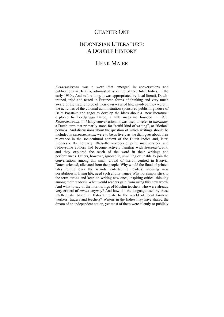## CHAPTER ONE

## INDONESIAN LITERATURE: A DOUBLE HISTORY

## HENK MAIER

*Kesoesasteraan* was a word that emerged in conversations and publications in Batavia, administrative centre of the Dutch Indies, in the early 1930s. And before long, it was appropriated by local literati, Dutchtrained, tried and tested in European forms of thinking and very much aware of the fragile force of their own ways of life; involved they were in the activities of the colonial administration-sponsored publishing house of Balai Poestaka and eager to develop the ideas about a "new literature" explored by Poedjangga Baroe, a little magazine founded in 1933. *Kesoesasteraan*. In Malay conversations it was used to refer to *literatuur*, a Dutch term that primarily stood for "artful kind of writing", or "fiction" perhaps. And discussions about the question of which writings should be included in *kesoesasteraan* were to be as lively as the dialogues about their relevance in the sociocultural context of the Dutch Indies and, later, Indonesia. By the early 1940s–the wonders of print, mail services, and radio–some authors had become actively familiar with *kesoesasteraan,* and they explored the reach of the word in their writings and performances. Others, however, ignored it, unwilling or unable to join the conversations among this small crowd of literati centred in Batavia, Dutch-oriented, alienated from the people. Why would the flood of printed tales rolling over the islands, entertaining readers, showing new possibilities in living life, need such a lofty name? Why not simply stick to the term *roman* and keep on writing new ones, inspiring critical thinking among their readers? What would readers gain from using this new word? And what to say of the murmurings of Muslim teachers who were already very critical of *roman* anyway? And how did the language used by these intellectuals, based in Batavia, relate to the world of local farmers, workers, traders and teachers? Writers in the Indies may have shared the dream of an independent nation, yet most of them were silently or publicly